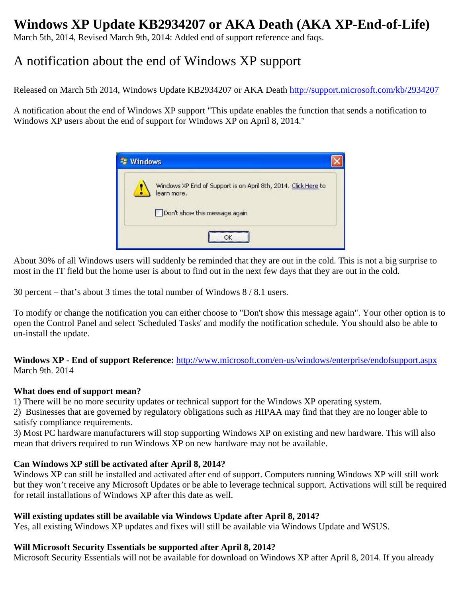# **Windows XP Update KB2934207 or AKA Death (AKA XP-End-of-Life)**

March 5th, 2014, Revised March 9th, 2014: Added end of support reference and faqs.

## A notification about the end of Windows XP support

Released on March 5th 2014, Windows Update KB2934207 or AKA Death http://support.microsoft.com/kb/2934207

A notification about the end of Windows XP support "This update enables the function that sends a notification to Windows XP users about the end of support for Windows XP on April 8, 2014."



About 30% of all Windows users will suddenly be reminded that they are out in the cold. This is not a big surprise to most in the IT field but the home user is about to find out in the next few days that they are out in the cold.

30 percent – that's about 3 times the total number of Windows 8 / 8.1 users.

To modify or change the notification you can either choose to "Don't show this message again". Your other option is to open the Control Panel and select 'Scheduled Tasks' and modify the notification schedule. You should also be able to un-install the update.

**Windows XP - End of support Reference:** http://www.microsoft.com/en-us/windows/enterprise/endofsupport.aspx March 9th. 2014

#### **What does end of support mean?**

1) There will be no more security updates or technical support for the Windows XP operating system.

2) Businesses that are governed by regulatory obligations such as HIPAA may find that they are no longer able to satisfy compliance requirements.

3) Most PC hardware manufacturers will stop supporting Windows XP on existing and new hardware. This will also mean that drivers required to run Windows XP on new hardware may not be available.

## **Can Windows XP still be activated after April 8, 2014?**

Windows XP can still be installed and activated after end of support. Computers running Windows XP will still work but they won't receive any Microsoft Updates or be able to leverage technical support. Activations will still be required for retail installations of Windows XP after this date as well.

## **Will existing updates still be available via Windows Update after April 8, 2014?**

Yes, all existing Windows XP updates and fixes will still be available via Windows Update and WSUS.

## **Will Microsoft Security Essentials be supported after April 8, 2014?**

Microsoft Security Essentials will not be available for download on Windows XP after April 8, 2014. If you already